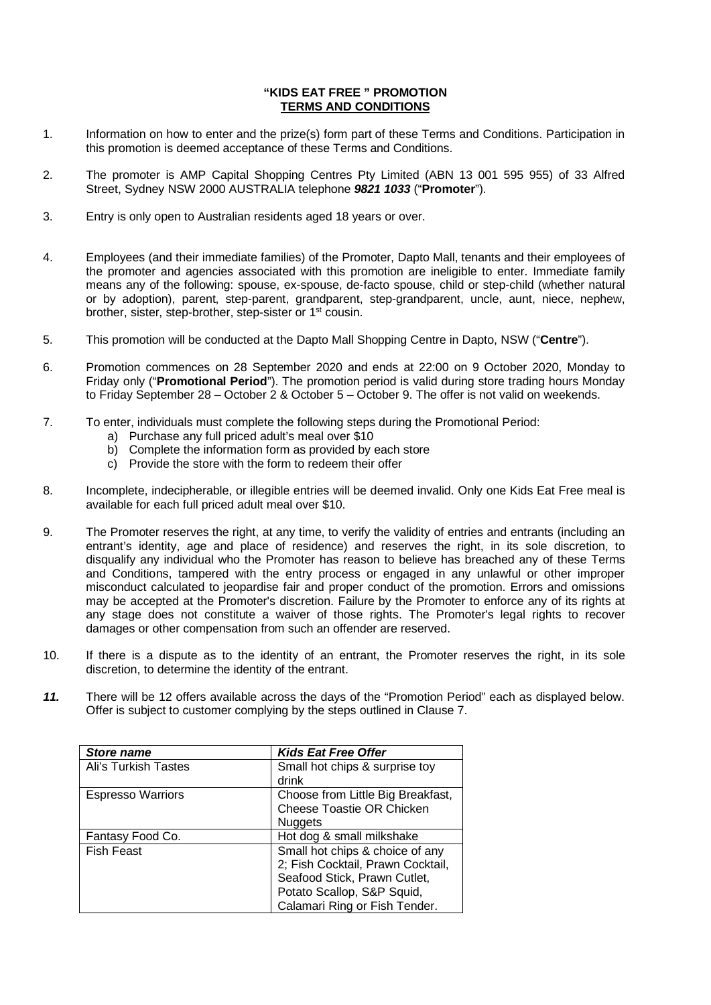## **"KIDS EAT FREE " PROMOTION TERMS AND CONDITIONS**

- 1. Information on how to enter and the prize(s) form part of these Terms and Conditions. Participation in this promotion is deemed acceptance of these Terms and Conditions.
- 2. The promoter is AMP Capital Shopping Centres Pty Limited (ABN 13 001 595 955) of 33 Alfred Street, Sydney NSW 2000 AUSTRALIA telephone *9821 1033* ("**Promoter**").
- 3. Entry is only open to Australian residents aged 18 years or over.
- 4. Employees (and their immediate families) of the Promoter, Dapto Mall, tenants and their employees of the promoter and agencies associated with this promotion are ineligible to enter. Immediate family means any of the following: spouse, ex-spouse, de-facto spouse, child or step-child (whether natural or by adoption), parent, step-parent, grandparent, step-grandparent, uncle, aunt, niece, nephew, brother, sister, step-brother, step-sister or 1st cousin.
- 5. This promotion will be conducted at the Dapto Mall Shopping Centre in Dapto, NSW ("**Centre**").
- 6. Promotion commences on 28 September 2020 and ends at 22:00 on 9 October 2020, Monday to Friday only ("**Promotional Period**"). The promotion period is valid during store trading hours Monday to Friday September 28 – October 2 & October 5 – October 9. The offer is not valid on weekends.
- 7. To enter, individuals must complete the following steps during the Promotional Period:
	- a) Purchase any full priced adult's meal over \$10
	- b) Complete the information form as provided by each store
	- c) Provide the store with the form to redeem their offer
- 8. Incomplete, indecipherable, or illegible entries will be deemed invalid. Only one Kids Eat Free meal is available for each full priced adult meal over \$10.
- 9. The Promoter reserves the right, at any time, to verify the validity of entries and entrants (including an entrant's identity, age and place of residence) and reserves the right, in its sole discretion, to disqualify any individual who the Promoter has reason to believe has breached any of these Terms and Conditions, tampered with the entry process or engaged in any unlawful or other improper misconduct calculated to jeopardise fair and proper conduct of the promotion. Errors and omissions may be accepted at the Promoter's discretion. Failure by the Promoter to enforce any of its rights at any stage does not constitute a waiver of those rights. The Promoter's legal rights to recover damages or other compensation from such an offender are reserved.
- 10. If there is a dispute as to the identity of an entrant, the Promoter reserves the right, in its sole discretion, to determine the identity of the entrant.
- *11.* There will be 12 offers available across the days of the "Promotion Period" each as displayed below. Offer is subject to customer complying by the steps outlined in Clause 7.

| <b>Store name</b>        | <b>Kids Eat Free Offer</b>        |
|--------------------------|-----------------------------------|
| Ali's Turkish Tastes     | Small hot chips & surprise toy    |
|                          | drink                             |
| <b>Espresso Warriors</b> | Choose from Little Big Breakfast, |
|                          | <b>Cheese Toastie OR Chicken</b>  |
|                          | <b>Nuggets</b>                    |
| Fantasy Food Co.         | Hot dog & small milkshake         |
| <b>Fish Feast</b>        | Small hot chips & choice of any   |
|                          | 2; Fish Cocktail, Prawn Cocktail, |
|                          | Seafood Stick, Prawn Cutlet,      |
|                          | Potato Scallop, S&P Squid,        |
|                          | Calamari Ring or Fish Tender.     |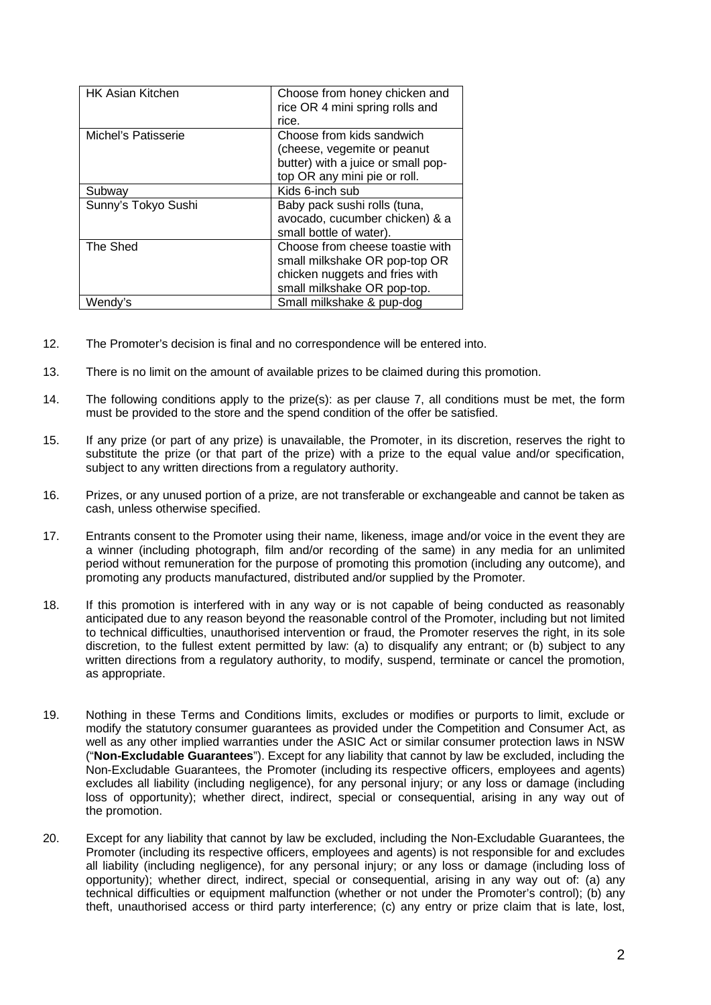| <b>HK Asian Kitchen</b> | Choose from honey chicken and<br>rice OR 4 mini spring rolls and<br>rice.                                                         |
|-------------------------|-----------------------------------------------------------------------------------------------------------------------------------|
| Michel's Patisserie     | Choose from kids sandwich<br>(cheese, vegemite or peanut<br>butter) with a juice or small pop-<br>top OR any mini pie or roll.    |
| Subway                  | Kids 6-inch sub                                                                                                                   |
| Sunny's Tokyo Sushi     | Baby pack sushi rolls (tuna,<br>avocado, cucumber chicken) & a<br>small bottle of water).                                         |
| The Shed                | Choose from cheese toastie with<br>small milkshake OR pop-top OR<br>chicken nuggets and fries with<br>small milkshake OR pop-top. |
| Wendy's                 | Small milkshake & pup-dog                                                                                                         |

- 12. The Promoter's decision is final and no correspondence will be entered into.
- 13. There is no limit on the amount of available prizes to be claimed during this promotion.
- 14. The following conditions apply to the prize(s): as per clause 7, all conditions must be met, the form must be provided to the store and the spend condition of the offer be satisfied.
- 15. If any prize (or part of any prize) is unavailable, the Promoter, in its discretion, reserves the right to substitute the prize (or that part of the prize) with a prize to the equal value and/or specification, subject to any written directions from a regulatory authority.
- 16. Prizes, or any unused portion of a prize, are not transferable or exchangeable and cannot be taken as cash, unless otherwise specified.
- 17. Entrants consent to the Promoter using their name, likeness, image and/or voice in the event they are a winner (including photograph, film and/or recording of the same) in any media for an unlimited period without remuneration for the purpose of promoting this promotion (including any outcome), and promoting any products manufactured, distributed and/or supplied by the Promoter.
- 18. If this promotion is interfered with in any way or is not capable of being conducted as reasonably anticipated due to any reason beyond the reasonable control of the Promoter, including but not limited to technical difficulties, unauthorised intervention or fraud, the Promoter reserves the right, in its sole discretion, to the fullest extent permitted by law: (a) to disqualify any entrant; or (b) subject to any written directions from a regulatory authority, to modify, suspend, terminate or cancel the promotion, as appropriate.
- 19. Nothing in these Terms and Conditions limits, excludes or modifies or purports to limit, exclude or modify the statutory consumer guarantees as provided under the Competition and Consumer Act, as well as any other implied warranties under the ASIC Act or similar consumer protection laws in NSW ("**Non-Excludable Guarantees**"). Except for any liability that cannot by law be excluded, including the Non-Excludable Guarantees, the Promoter (including its respective officers, employees and agents) excludes all liability (including negligence), for any personal injury; or any loss or damage (including loss of opportunity); whether direct, indirect, special or consequential, arising in any way out of the promotion.
- 20. Except for any liability that cannot by law be excluded, including the Non-Excludable Guarantees, the Promoter (including its respective officers, employees and agents) is not responsible for and excludes all liability (including negligence), for any personal injury; or any loss or damage (including loss of opportunity); whether direct, indirect, special or consequential, arising in any way out of: (a) any technical difficulties or equipment malfunction (whether or not under the Promoter's control); (b) any theft, unauthorised access or third party interference; (c) any entry or prize claim that is late, lost,